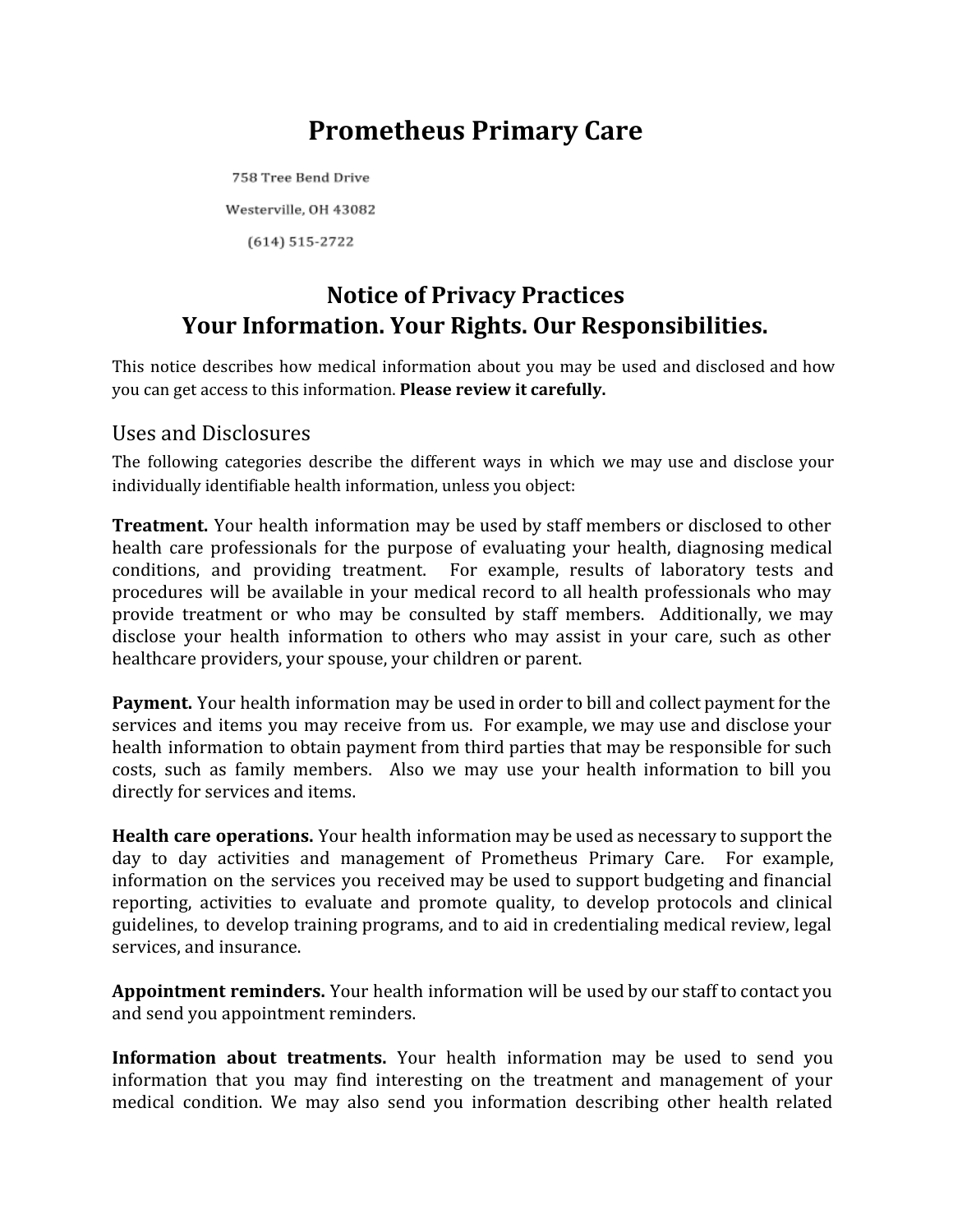# **Prometheus Primary Care**

758 Tree Bend Drive Westerville, OH 43082  $(614) 515 - 2722$ 

## **Notice of Privacy Practices Your Information. Your Rights. Our Responsibilities.**

This notice describes how medical information about you may be used and disclosed and how you can get access to this information. **Please review it carefully.**

#### Uses and Disclosures

The following categories describe the different ways in which we may use and disclose your individually identifiable health information, unless you object:

**Treatment.** Your health information may be used by staff members or disclosed to other health care professionals for the purpose of evaluating your health, diagnosing medical conditions, and providing treatment. For example, results of laboratory tests and procedures will be available in your medical record to all health professionals who may provide treatment or who may be consulted by staff members. Additionally, we may disclose your health information to others who may assist in your care, such as other healthcare providers, your spouse, your children or parent.

**Payment.** Your health information may be used in order to bill and collect payment for the services and items you may receive from us. For example, we may use and disclose your health information to obtain payment from third parties that may be responsible for such costs, such as family members. Also we may use your health information to bill you directly for services and items.

**Health care operations.** Your health information may be used as necessary to support the day to day activities and management of Prometheus Primary Care. For example, information on the services you received may be used to support budgeting and financial reporting, activities to evaluate and promote quality, to develop protocols and clinical guidelines, to develop training programs, and to aid in credentialing medical review, legal services, and insurance.

**Appointment reminders.** Your health information will be used by our staff to contact you and send you appointment reminders.

**Information about treatments.** Your health information may be used to send you information that you may find interesting on the treatment and management of your medical condition. We may also send you information describing other health related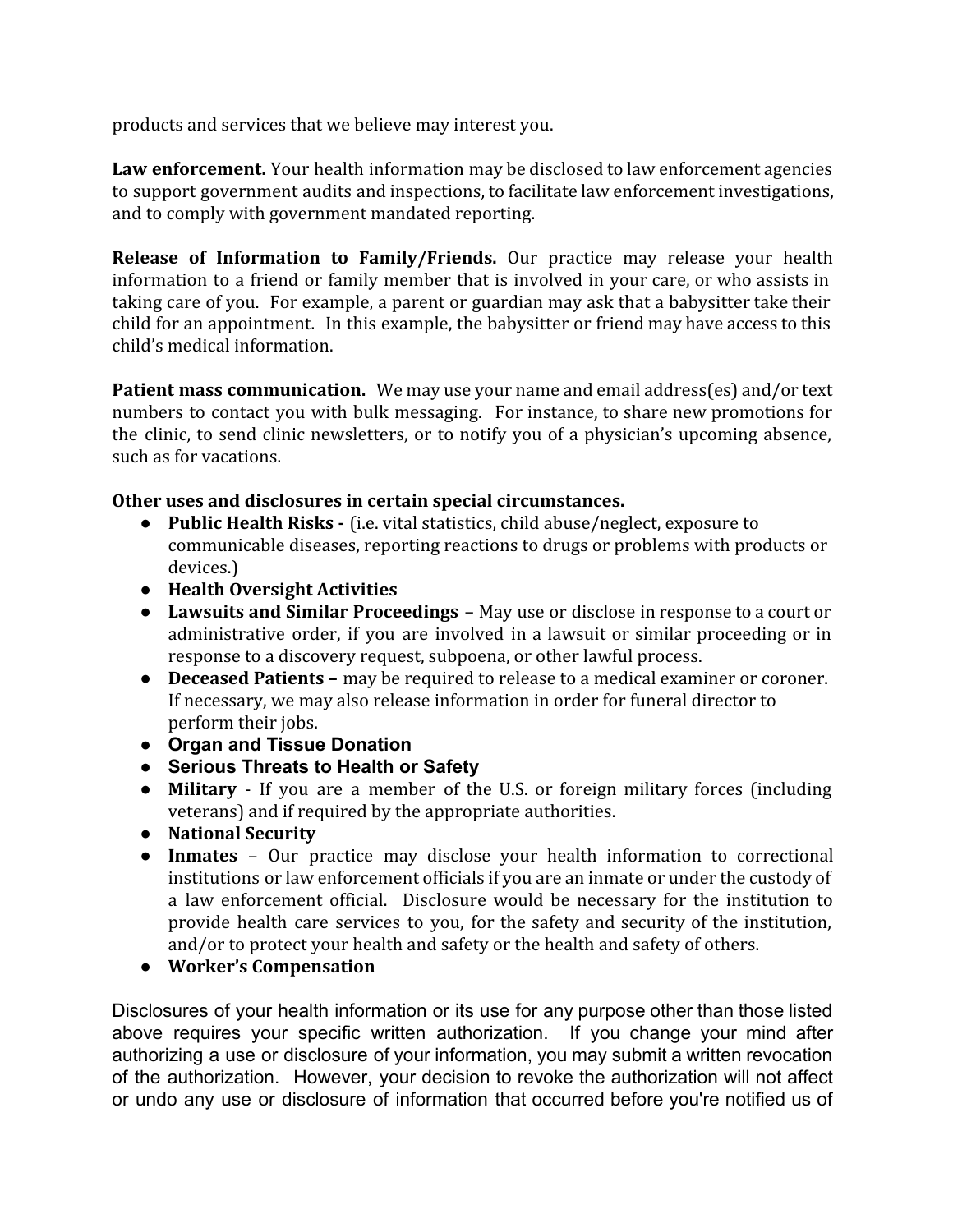products and services that we believe may interest you.

**Law enforcement.** Your health information may be disclosed to law enforcement agencies to support government audits and inspections, to facilitate law enforcement investigations, and to comply with government mandated reporting.

**Release of Information to Family/Friends.** Our practice may release your health information to a friend or family member that is involved in your care, or who assists in taking care of you. For example, a parent or guardian may ask that a babysitter take their child for an appointment. In this example, the babysitter or friend may have access to this child's medical information.

**Patient mass communication.** We may use your name and email address(es) and/or text numbers to contact you with bulk messaging. For instance, to share new promotions for the clinic, to send clinic newsletters, or to notify you of a physician's upcoming absence, such as for vacations.

#### **Other uses and disclosures in certain special circumstances.**

- **Public Health Risks -** (i.e. vital statistics, child abuse/neglect, exposure to communicable diseases, reporting reactions to drugs or problems with products or devices.)
- **Health Oversight Activities**
- **Lawsuits and Similar Proceedings** May use or disclose in response to a court or administrative order, if you are involved in a lawsuit or similar proceeding or in response to a discovery request, subpoena, or other lawful process.
- **Deceased Patients –** may be required to release to a medical examiner or coroner. If necessary, we may also release information in order for funeral director to perform their jobs.
- **Organ and Tissue Donation**
- **Serious Threats to Health or Safety**
- **Military** If you are a member of the U.S. or foreign military forces (including veterans) and if required by the appropriate authorities.
- **National Security**
- **Inmates** Our practice may disclose your health information to correctional institutions or law enforcement officials if you are an inmate or under the custody of a law enforcement official. Disclosure would be necessary for the institution to provide health care services to you, for the safety and security of the institution, and/or to protect your health and safety or the health and safety of others.
- **Worker's Compensation**

Disclosures of your health information or its use for any purpose other than those listed above requires your specific written authorization. If you change your mind after authorizing a use or disclosure of your information, you may submit a written revocation of the authorization. However, your decision to revoke the authorization will not affect or undo any use or disclosure of information that occurred before you're notified us of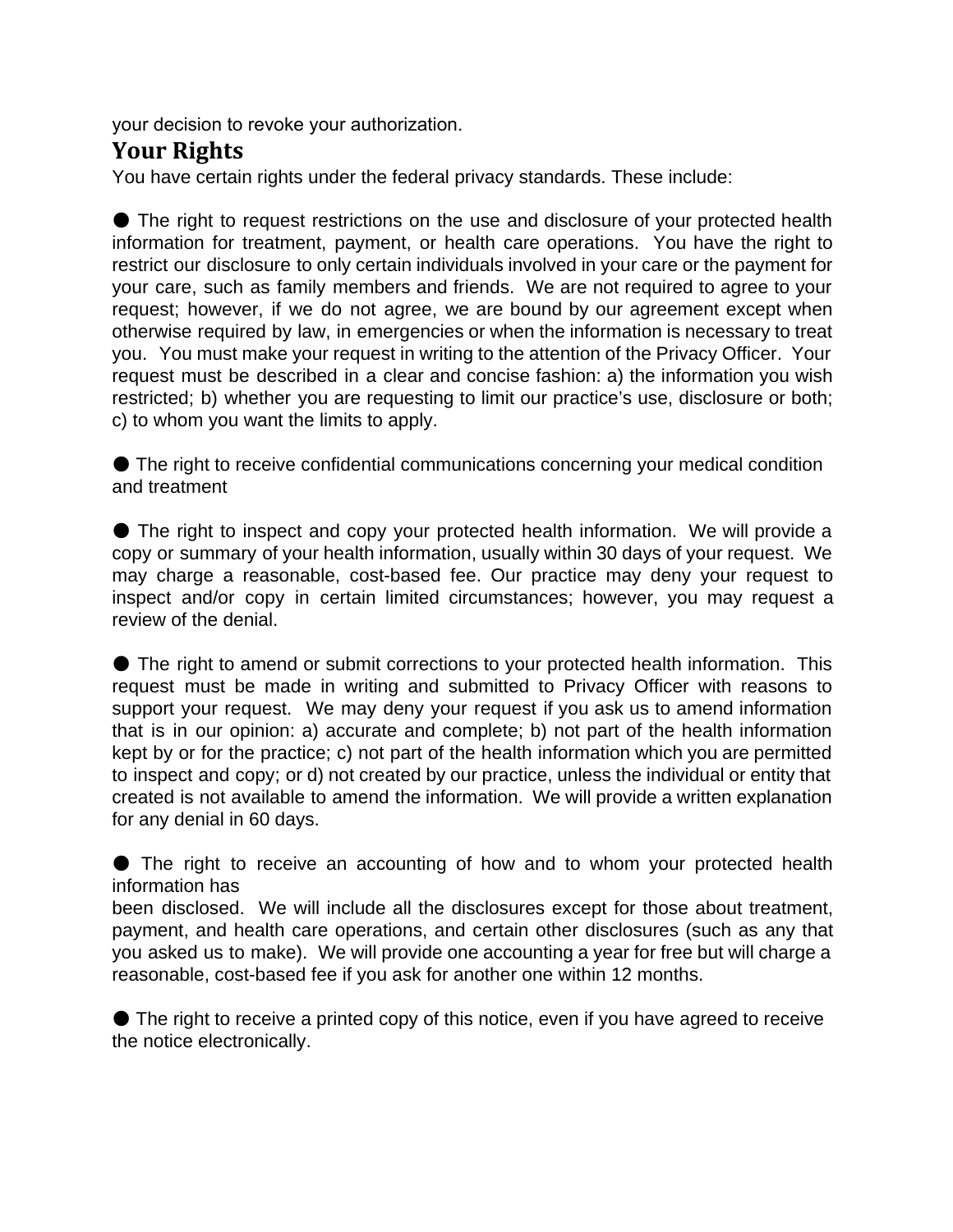your decision to revoke your authorization.

#### **Your Rights**

You have certain rights under the federal privacy standards. These include:

● The right to request restrictions on the use and disclosure of your protected health information for treatment, payment, or health care operations. You have the right to restrict our disclosure to only certain individuals involved in your care or the payment for your care, such as family members and friends. We are not required to agree to your request; however, if we do not agree, we are bound by our agreement except when otherwise required by law, in emergencies or when the information is necessary to treat you. You must make your request in writing to the attention of the Privacy Officer. Your request must be described in a clear and concise fashion: a) the information you wish restricted; b) whether you are requesting to limit our practice's use, disclosure or both; c) to whom you want the limits to apply.

● The right to receive confidential communications concerning your medical condition and treatment

● The right to inspect and copy your protected health information. We will provide a copy or summary of your health information, usually within 30 days of your request. We may charge a reasonable, cost-based fee. Our practice may deny your request to inspect and/or copy in certain limited circumstances; however, you may request a review of the denial.

● The right to amend or submit corrections to your protected health information. This request must be made in writing and submitted to Privacy Officer with reasons to support your request. We may deny your request if you ask us to amend information that is in our opinion: a) accurate and complete; b) not part of the health information kept by or for the practice; c) not part of the health information which you are permitted to inspect and copy; or d) not created by our practice, unless the individual or entity that created is not available to amend the information. We will provide a written explanation for any denial in 60 days.

● The right to receive an accounting of how and to whom your protected health information has

been disclosed. We will include all the disclosures except for those about treatment, payment, and health care operations, and certain other disclosures (such as any that you asked us to make). We will provide one accounting a year for free but will charge a reasonable, cost-based fee if you ask for another one within 12 months.

● The right to receive a printed copy of this notice, even if you have agreed to receive the notice electronically.